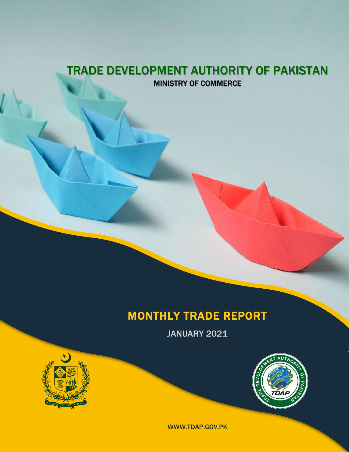### TRADE DEVELOPMENT AUTHORITY OF PAKISTAN MINISTRY OF COMMERCE

### MONTHLY TRADE REPORT

JANUARY 2021





WWW.TDAP.GOV.PK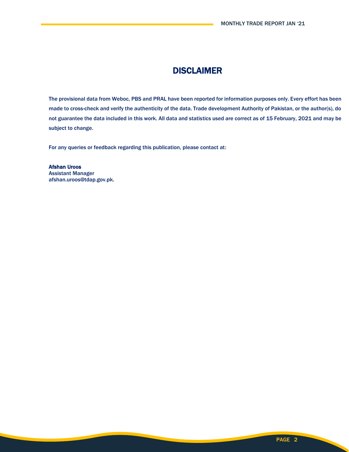### DISCLAIMER

The provisional data from Weboc, PBS and PRAL have been reported for information purposes only. Every effort has been made to cross-check and verify the authenticity of the data. Trade development Authority of Pakistan, or the author(s), do not guarantee the data included in this work. All data and statistics used are correct as of 15 February, 2021 and may be subject to change.

For any queries or feedback regarding this publication, please contact at:

Afshan Uroos Assistant Manager afshan.uroos@tdap.gov.pk.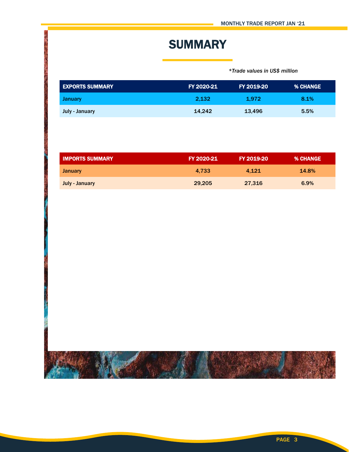# **SUMMARY**

 *\*Trade values in US\$ million*

| LEXPORTS SUMMARY <b>\</b> | <b>FY 2020-21</b> | FY 2019-20 | <b>% CHANGE</b> |
|---------------------------|-------------------|------------|-----------------|
| <b>January</b>            | 2.132             | 1.972      | 8.1%            |
| July - January            | 14.242            | 13.496     | 5.5%            |

| <b>IMPORTS SUMMARY</b> | FY 2020-21 | FY 2019-20 | <b>% CHANGE</b> |
|------------------------|------------|------------|-----------------|
| <b>January</b>         | 4.733      | 4.121      | 14.8%           |
| July - January         | 29,205     | 27.316     | 6.9%            |

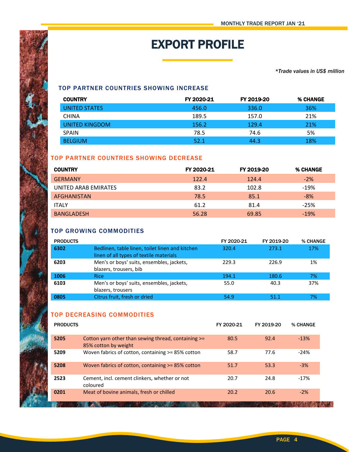# EXPORT PROFILE

#### *\*Trade values in US\$ million*

#### TOP PARTNER COUNTRIES SHOWING INCREASE

| <b>COUNTRY</b> | FY 2020-21 | FY 2019-20 | % CHANGE |
|----------------|------------|------------|----------|
| UNITED STATES  | 456.0      | 336.0      | 36%      |
| <b>CHINA</b>   | 189.5      | 157.0      | 21%      |
| UNITED KINGDOM | 156.2      | 129.4      | 21%      |
| <b>SPAIN</b>   | 78.5       | 74.6       | 5%       |
| <b>BELGIUM</b> | 52.1       | 44.3       | 18%      |

#### TOP PARTNER COUNTRIES SHOWING DECREASE

| <b>COUNTRY</b>       | FY 2020-21 | FY 2019-20 | % CHANGE |
|----------------------|------------|------------|----------|
| <b>GERMANY</b>       | 122.4      | 124.4      | $-2\%$   |
| UNITED ARAB EMIRATES | 83.2       | 102.8      | $-19%$   |
| AFGHANISTAN          | 78.5       | 85.1       | $-8%$    |
| <b>ITALY</b>         | 61.2       | 81.4       | $-25%$   |
| <b>BANGLADESH</b>    | 56.28      | 69.85      | $-19%$   |

#### TOP GROWING COMMODITIES

| <b>PRODUCTS</b> |                                                                                            | FY 2020-21 | FY 2019-20 | % CHANGE |
|-----------------|--------------------------------------------------------------------------------------------|------------|------------|----------|
| 6302            | Bedlinen, table linen, toilet linen and kitchen<br>linen of all types of textile materials | 320.4      | 273.1      | 17%      |
| 6203            | Men's or boys' suits, ensembles, jackets,<br>blazers, trousers, bib                        | 229.3      | 226.9      | 1%       |
| 1006            | <b>Rice</b>                                                                                | 194.1      | 180.6      | 7%       |
| 6103            | Men's or boys' suits, ensembles, jackets,<br>blazers, trousers                             | 55.0       | 40.3       | 37%      |
| 0805            | Citrus fruit, fresh or dried                                                               | 54.9       | 51.1       | 7%       |

#### TOP DECREASING COMMODITIES

| <b>PRODUCTS</b> |                                                                             | FY 2020-21 | FY 2019-20 | % CHANGE |
|-----------------|-----------------------------------------------------------------------------|------------|------------|----------|
| 5205            | Cotton yarn other than sewing thread, containing >=<br>85% cotton by weight | 80.5       | 92.4       | $-13%$   |
| 5209            | Woven fabrics of cotton, containing $>= 85\%$ cotton                        | 58.7       | 77.6       | $-24%$   |
| 5208            | Woven fabrics of cotton, containing >= 85% cotton                           | 51.7       | 53.3       | $-3%$    |
| 2523            | Cement, incl. cement clinkers, whether or not<br>coloured                   | 20.7       | 24.8       | $-17%$   |
| 0201            | Meat of bovine animals, fresh or chilled                                    | 20.2       | 20.6       | $-2%$    |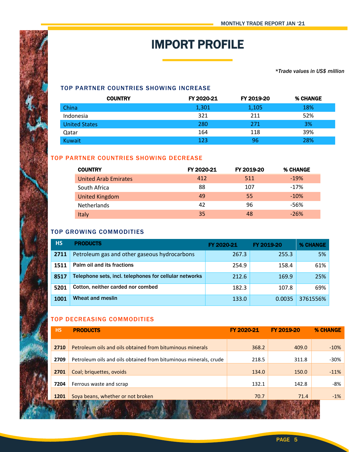# IMPORT PROFILE

*\*Trade values in US\$ million*

#### TOP PARTNER COUNTRIES SHOWING INCREASE

| <b>COUNTRY</b>       | FY 2020-21 | FY 2019-20 | % CHANGE |
|----------------------|------------|------------|----------|
| China                | 1,301      | 1,105      | 18%      |
| Indonesia            | 321        | 211        | 52%      |
| <b>United States</b> | 280        | 271        | 3%       |
| Qatar                | 164        | 118        | 39%      |
| Kuwait               | 123        | 96         | 28%      |

#### TOP PARTNER COUNTRIES SHOWING DECREASE

| <b>COUNTRY</b>              | FY 2020-21 | FY 2019-20 | % CHANGE |
|-----------------------------|------------|------------|----------|
| <b>United Arab Emirates</b> | 412        | 511        | $-19%$   |
| South Africa                | 88         | 107        | $-17%$   |
| <b>United Kingdom</b>       | 49         | 55         | $-10%$   |
| <b>Netherlands</b>          | 42         | 96         | -56%     |
| Italy                       | 35         | 48         | $-26%$   |

#### TOP GROWING COMMODITIES

| <b>HS</b> | <b>PRODUCTS</b>                                        | FY 2020-21 | FY 2019-20 | <b>% CHANGE</b> |
|-----------|--------------------------------------------------------|------------|------------|-----------------|
| 2711      | Petroleum gas and other gaseous hydrocarbons           | 267.3      | 255.3      | 5%              |
| 1511      | Palm oil and its fractions                             | 254.9      | 158.4      | 61%             |
| 8517      | Telephone sets, incl. telephones for cellular networks | 212.6      | 169.9      | 25%             |
| 5201      | Cotton, neither carded nor combed                      | 182.3      | 107.8      | 69%             |
| 1001      | Wheat and meslin                                       | 133.0      | 0.0035     | 3761556%        |

#### TOP DECREASING COMMODITIES

| <b>HS</b> | <b>PRODUCTS</b>                                                  | FY 2020-21 | FY 2019-20 | <b>% CHANGE</b> |
|-----------|------------------------------------------------------------------|------------|------------|-----------------|
| 2710      | Petroleum oils and oils obtained from bituminous minerals        | 368.2      | 409.0      | $-10%$          |
| 2709      | Petroleum oils and oils obtained from bituminous minerals, crude | 218.5      | 311.8      | -30%            |
| 2701      | Coal; briquettes, ovoids                                         | 134.0      | 150.0      | $-11%$          |
| 7204      | Ferrous waste and scrap                                          | 132.1      | 142.8      | -8%             |
| 1201      | Soya beans, whether or not broken                                | 70.7       | 71.4       | $-1\%$          |
|           |                                                                  |            |            |                 |